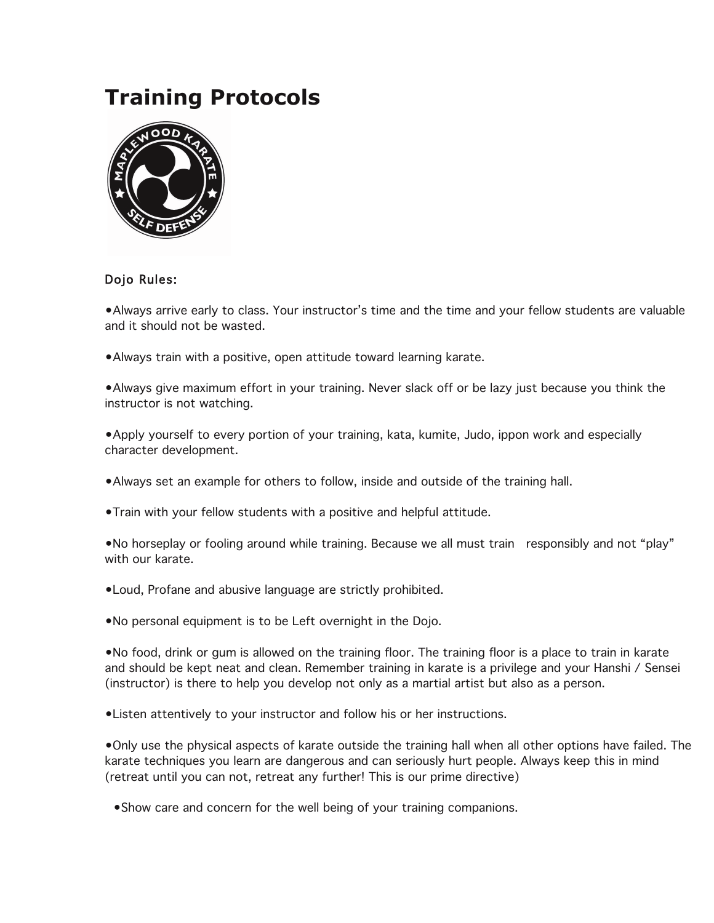# **Training Protocols**



# Dojo Rules:

•Always arrive early to class. Your instructor's time and the time and your fellow students are valuable and it should not be wasted.

•Always train with a positive, open attitude toward learning karate.

•Always give maximum effort in your training. Never slack off or be lazy just because you think the instructor is not watching.

•Apply yourself to every portion of your training, kata, kumite, Judo, ippon work and especially character development.

- •Always set an example for others to follow, inside and outside of the training hall.
- •Train with your fellow students with a positive and helpful attitude.

•No horseplay or fooling around while training. Because we all must train responsibly and not "play" with our karate.

- •Loud, Profane and abusive language are strictly prohibited.
- •No personal equipment is to be Left overnight in the Dojo.

•No food, drink or gum is allowed on the training floor. The training floor is a place to train in karate and should be kept neat and clean. Remember training in karate is a privilege and your Hanshi / Sensei (instructor) is there to help you develop not only as a martial artist but also as a person.

•Listen attentively to your instructor and follow his or her instructions.

•Only use the physical aspects of karate outside the training hall when all other options have failed. The karate techniques you learn are dangerous and can seriously hurt people. Always keep this in mind (retreat until you can not, retreat any further! This is our prime directive)

•Show care and concern for the well being of your training companions.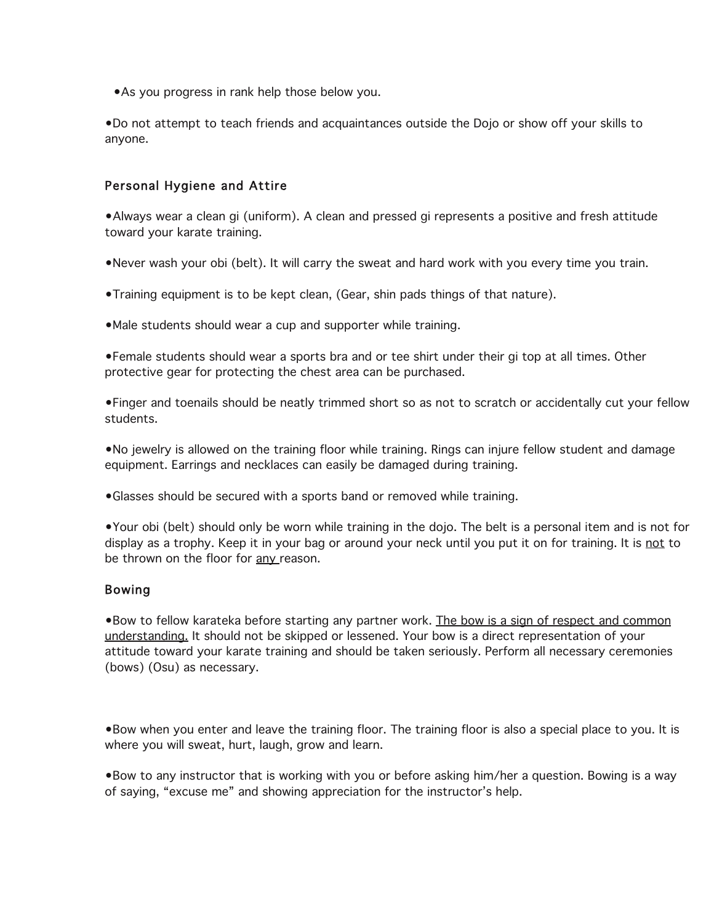•As you progress in rank help those below you.

•Do not attempt to teach friends and acquaintances outside the Dojo or show off your skills to anyone.

#### Personal Hygiene and Attire

•Always wear a clean gi (uniform). A clean and pressed gi represents a positive and fresh attitude toward your karate training.

•Never wash your obi (belt). It will carry the sweat and hard work with you every time you train.

- •Training equipment is to be kept clean, (Gear, shin pads things of that nature).
- •Male students should wear a cup and supporter while training.

•Female students should wear a sports bra and or tee shirt under their gi top at all times. Other protective gear for protecting the chest area can be purchased.

•Finger and toenails should be neatly trimmed short so as not to scratch or accidentally cut your fellow students.

•No jewelry is allowed on the training floor while training. Rings can injure fellow student and damage equipment. Earrings and necklaces can easily be damaged during training.

•Glasses should be secured with a sports band or removed while training.

•Your obi (belt) should only be worn while training in the dojo. The belt is a personal item and is not for display as a trophy. Keep it in your bag or around your neck until you put it on for training. It is not to be thrown on the floor for any reason.

#### Bowing

•Bow to fellow karateka before starting any partner work. The bow is a sign of respect and common understanding. It should not be skipped or lessened. Your bow is a direct representation of your attitude toward your karate training and should be taken seriously. Perform all necessary ceremonies (bows) (Osu) as necessary.

•Bow when you enter and leave the training floor. The training floor is also a special place to you. It is where you will sweat, hurt, laugh, grow and learn.

•Bow to any instructor that is working with you or before asking him/her a question. Bowing is a way of saying, "excuse me" and showing appreciation for the instructor's help.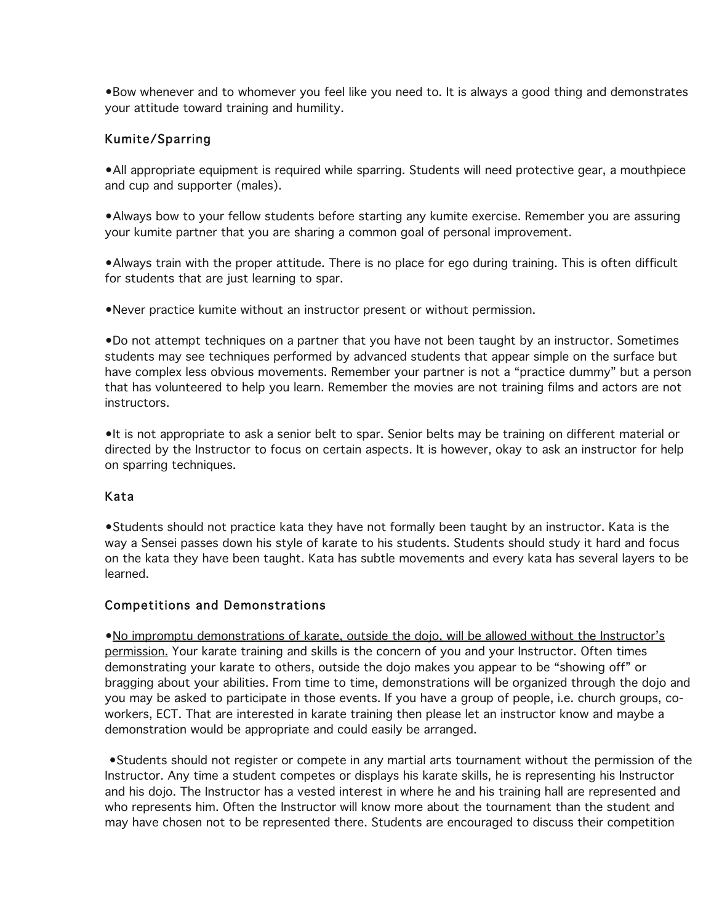•Bow whenever and to whomever you feel like you need to. It is always a good thing and demonstrates your attitude toward training and humility.

### Kumite/Sparring

•All appropriate equipment is required while sparring. Students will need protective gear, a mouthpiece and cup and supporter (males).

•Always bow to your fellow students before starting any kumite exercise. Remember you are assuring your kumite partner that you are sharing a common goal of personal improvement.

•Always train with the proper attitude. There is no place for ego during training. This is often difficult for students that are just learning to spar.

•Never practice kumite without an instructor present or without permission.

•Do not attempt techniques on a partner that you have not been taught by an instructor. Sometimes students may see techniques performed by advanced students that appear simple on the surface but have complex less obvious movements. Remember your partner is not a "practice dummy" but a person that has volunteered to help you learn. Remember the movies are not training films and actors are not instructors.

•It is not appropriate to ask a senior belt to spar. Senior belts may be training on different material or directed by the Instructor to focus on certain aspects. It is however, okay to ask an instructor for help on sparring techniques.

#### Kata

•Students should not practice kata they have not formally been taught by an instructor. Kata is the way a Sensei passes down his style of karate to his students. Students should study it hard and focus on the kata they have been taught. Kata has subtle movements and every kata has several layers to be learned.

#### Competitions and Demonstrations

•No impromptu demonstrations of karate, outside the dojo, will be allowed without the Instructor's permission. Your karate training and skills is the concern of you and your Instructor. Often times demonstrating your karate to others, outside the dojo makes you appear to be "showing off" or bragging about your abilities. From time to time, demonstrations will be organized through the dojo and you may be asked to participate in those events. If you have a group of people, i.e. church groups, coworkers, ECT. That are interested in karate training then please let an instructor know and maybe a demonstration would be appropriate and could easily be arranged.

 •Students should not register or compete in any martial arts tournament without the permission of the Instructor. Any time a student competes or displays his karate skills, he is representing his Instructor and his dojo. The Instructor has a vested interest in where he and his training hall are represented and who represents him. Often the Instructor will know more about the tournament than the student and may have chosen not to be represented there. Students are encouraged to discuss their competition